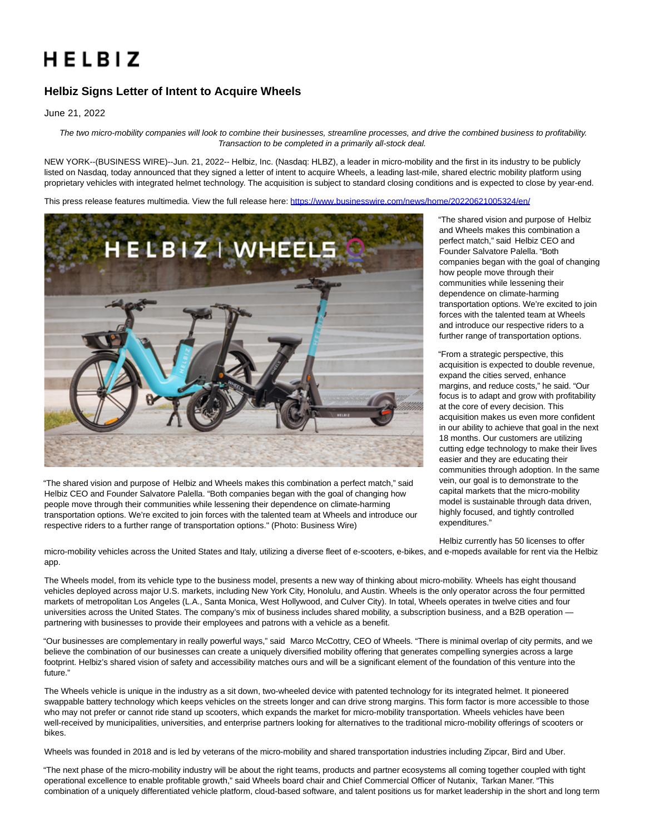# HELBIZ

# **Helbiz Signs Letter of Intent to Acquire Wheels**

June 21, 2022

The two micro-mobility companies will look to combine their businesses, streamline processes, and drive the combined business to profitability. Transaction to be completed in a primarily all-stock deal.

NEW YORK--(BUSINESS WIRE)--Jun. 21, 2022-- Helbiz, Inc. (Nasdaq: HLBZ), a leader in micro-mobility and the first in its industry to be publicly listed on Nasdaq, today announced that they signed a letter of intent to acquire Wheels, a leading last-mile, shared electric mobility platform using proprietary vehicles with integrated helmet technology. The acquisition is subject to standard closing conditions and is expected to close by year-end.

This press release features multimedia. View the full release here:<https://www.businesswire.com/news/home/20220621005324/en/>



"The shared vision and purpose of Helbiz and Wheels makes this combination a perfect match," said Helbiz CEO and Founder Salvatore Palella. "Both companies began with the goal of changing how people move through their communities while lessening their dependence on climate-harming transportation options. We're excited to join forces with the talented team at Wheels and introduce our respective riders to a further range of transportation options." (Photo: Business Wire)

"The shared vision and purpose of Helbiz and Wheels makes this combination a perfect match," said Helbiz CEO and Founder Salvatore Palella. "Both companies began with the goal of changing how people move through their communities while lessening their dependence on climate-harming transportation options. We're excited to join forces with the talented team at Wheels and introduce our respective riders to a further range of transportation options.

"From a strategic perspective, this acquisition is expected to double revenue, expand the cities served, enhance margins, and reduce costs," he said. "Our focus is to adapt and grow with profitability at the core of every decision. This acquisition makes us even more confident in our ability to achieve that goal in the next 18 months. Our customers are utilizing cutting edge technology to make their lives easier and they are educating their communities through adoption. In the same vein, our goal is to demonstrate to the capital markets that the micro-mobility model is sustainable through data driven, highly focused, and tightly controlled expenditures."

Helbiz currently has 50 licenses to offer

micro-mobility vehicles across the United States and Italy, utilizing a diverse fleet of e-scooters, e-bikes, and e-mopeds available for rent via the Helbiz app.

The Wheels model, from its vehicle type to the business model, presents a new way of thinking about micro-mobility. Wheels has eight thousand vehicles deployed across major U.S. markets, including New York City, Honolulu, and Austin. Wheels is the only operator across the four permitted markets of metropolitan Los Angeles (L.A., Santa Monica, West Hollywood, and Culver City). In total, Wheels operates in twelve cities and four universities across the United States. The company's mix of business includes shared mobility, a subscription business, and a B2B operation partnering with businesses to provide their employees and patrons with a vehicle as a benefit.

"Our businesses are complementary in really powerful ways," said Marco McCottry, CEO of Wheels. "There is minimal overlap of city permits, and we believe the combination of our businesses can create a uniquely diversified mobility offering that generates compelling synergies across a large footprint. Helbiz's shared vision of safety and accessibility matches ours and will be a significant element of the foundation of this venture into the future."

The Wheels vehicle is unique in the industry as a sit down, two-wheeled device with patented technology for its integrated helmet. It pioneered swappable battery technology which keeps vehicles on the streets longer and can drive strong margins. This form factor is more accessible to those who may not prefer or cannot ride stand up scooters, which expands the market for micro-mobility transportation. Wheels vehicles have been well-received by municipalities, universities, and enterprise partners looking for alternatives to the traditional micro-mobility offerings of scooters or bikes.

Wheels was founded in 2018 and is led by veterans of the micro-mobility and shared transportation industries including Zipcar, Bird and Uber.

"The next phase of the micro-mobility industry will be about the right teams, products and partner ecosystems all coming together coupled with tight operational excellence to enable profitable growth," said Wheels board chair and Chief Commercial Officer of Nutanix, Tarkan Maner. "This combination of a uniquely differentiated vehicle platform, cloud-based software, and talent positions us for market leadership in the short and long term